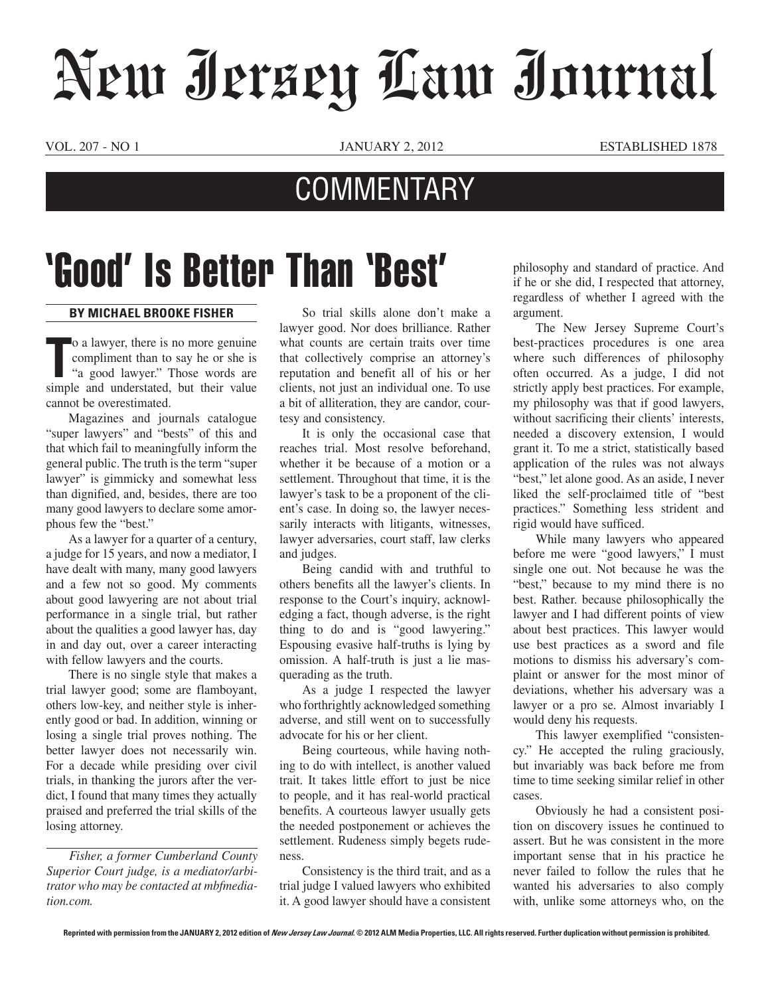## New Jersey Law Journal

VOL. 207 - NO 1 JANUARY 2, 2012 eSTABLISHED 1878

## **COMMENTARY**

## 'Good' Is Better Than 'Best'

## **By Michael Brooke Fisher**

o a lawyer, there is no more genuine<br>
compliment than to say he or she is<br>
"a good lawyer." Those words are<br>
simple and understated, but their value o a lawyer, there is no more genuine compliment than to say he or she is "a good lawyer." Those words are cannot be overestimated.

Magazines and journals catalogue "super lawyers" and "bests" of this and that which fail to meaningfully inform the general public. The truth is the term "super lawyer" is gimmicky and somewhat less than dignified, and, besides, there are too many good lawyers to declare some amorphous few the "best."

As a lawyer for a quarter of a century, a judge for 15 years, and now a mediator, I have dealt with many, many good lawyers and a few not so good. My comments about good lawyering are not about trial performance in a single trial, but rather about the qualities a good lawyer has, day in and day out, over a career interacting with fellow lawyers and the courts.

There is no single style that makes a trial lawyer good; some are flamboyant, others low-key, and neither style is inherently good or bad. In addition, winning or losing a single trial proves nothing. The better lawyer does not necessarily win. For a decade while presiding over civil trials, in thanking the jurors after the verdict, I found that many times they actually praised and preferred the trial skills of the losing attorney.

*Fisher, a former Cumberland County Superior Court judge, is a mediator/arbitrator who may be contacted at mbfmediation.com.*

So trial skills alone don't make a lawyer good. Nor does brilliance. Rather what counts are certain traits over time that collectively comprise an attorney's reputation and benefit all of his or her clients, not just an individual one. To use a bit of alliteration, they are candor, courtesy and consistency.

It is only the occasional case that reaches trial. Most resolve beforehand, whether it be because of a motion or a settlement. Throughout that time, it is the lawyer's task to be a proponent of the client's case. In doing so, the lawyer necessarily interacts with litigants, witnesses, lawyer adversaries, court staff, law clerks and judges.

Being candid with and truthful to others benefits all the lawyer's clients. In response to the Court's inquiry, acknowledging a fact, though adverse, is the right thing to do and is "good lawyering." Espousing evasive half-truths is lying by omission. A half-truth is just a lie masquerading as the truth.

As a judge I respected the lawyer who forthrightly acknowledged something adverse, and still went on to successfully advocate for his or her client.

Being courteous, while having nothing to do with intellect, is another valued trait. It takes little effort to just be nice to people, and it has real-world practical benefits. A courteous lawyer usually gets the needed postponement or achieves the settlement. Rudeness simply begets rudeness.

Consistency is the third trait, and as a trial judge I valued lawyers who exhibited it. A good lawyer should have a consistent philosophy and standard of practice. And if he or she did, I respected that attorney, regardless of whether I agreed with the argument.

The New Jersey Supreme Court's best-practices procedures is one area where such differences of philosophy often occurred. As a judge, I did not strictly apply best practices. For example, my philosophy was that if good lawyers, without sacrificing their clients' interests, needed a discovery extension, I would grant it. To me a strict, statistically based application of the rules was not always "best," let alone good. As an aside, I never liked the self-proclaimed title of "best practices." Something less strident and rigid would have sufficed.

While many lawyers who appeared before me were "good lawyers," I must single one out. Not because he was the "best," because to my mind there is no best. Rather. because philosophically the lawyer and I had different points of view about best practices. This lawyer would use best practices as a sword and file motions to dismiss his adversary's complaint or answer for the most minor of deviations, whether his adversary was a lawyer or a pro se. Almost invariably I would deny his requests.

This lawyer exemplified "consistency." He accepted the ruling graciously, but invariably was back before me from time to time seeking similar relief in other cases.

Obviously he had a consistent position on discovery issues he continued to assert. But he was consistent in the more important sense that in his practice he never failed to follow the rules that he wanted his adversaries to also comply with, unlike some attorneys who, on the